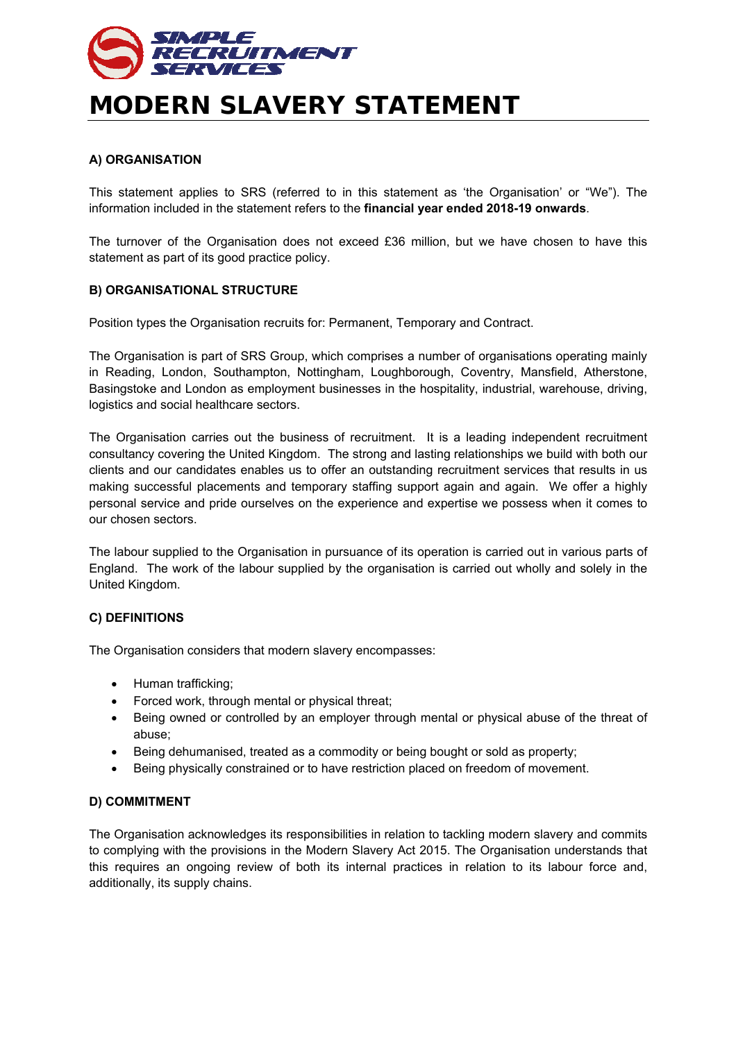

# **MODERN SLAVERY STATEMENT**

### **A) ORGANISATION**

This statement applies to SRS (referred to in this statement as 'the Organisation' or "We"). The information included in the statement refers to the **financial year ended 2018-19 onwards**.

The turnover of the Organisation does not exceed £36 million, but we have chosen to have this statement as part of its good practice policy.

#### **B) ORGANISATIONAL STRUCTURE**

Position types the Organisation recruits for: Permanent, Temporary and Contract.

The Organisation is part of SRS Group, which comprises a number of organisations operating mainly in Reading, London, Southampton, Nottingham, Loughborough, Coventry, Mansfield, Atherstone, Basingstoke and London as employment businesses in the hospitality, industrial, warehouse, driving, logistics and social healthcare sectors.

The Organisation carries out the business of recruitment. It is a leading independent recruitment consultancy covering the United Kingdom. The strong and lasting relationships we build with both our clients and our candidates enables us to offer an outstanding recruitment services that results in us making successful placements and temporary staffing support again and again. We offer a highly personal service and pride ourselves on the experience and expertise we possess when it comes to our chosen sectors.

The labour supplied to the Organisation in pursuance of its operation is carried out in various parts of England. The work of the labour supplied by the organisation is carried out wholly and solely in the United Kingdom.

#### **C) DEFINITIONS**

The Organisation considers that modern slavery encompasses:

- Human trafficking;
- Forced work, through mental or physical threat;
- Being owned or controlled by an employer through mental or physical abuse of the threat of abuse;
- Being dehumanised, treated as a commodity or being bought or sold as property;
- Being physically constrained or to have restriction placed on freedom of movement.

## **D) COMMITMENT**

The Organisation acknowledges its responsibilities in relation to tackling modern slavery and commits to complying with the provisions in the Modern Slavery Act 2015. The Organisation understands that this requires an ongoing review of both its internal practices in relation to its labour force and, additionally, its supply chains.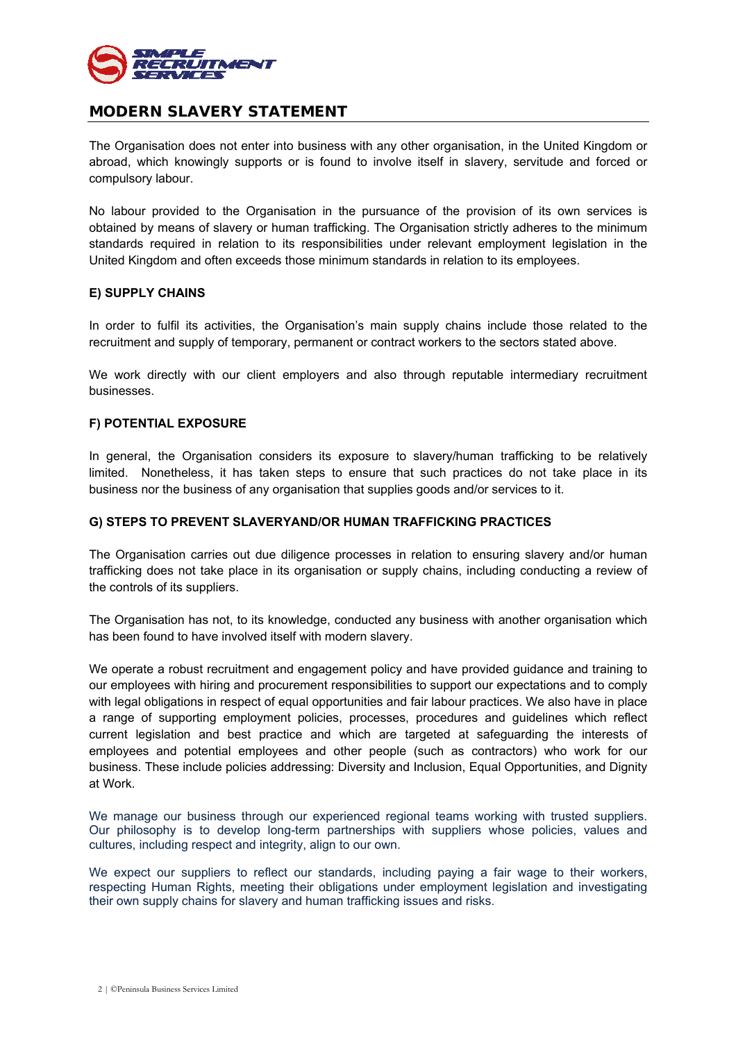

## **MODERN SLAVERY STATEMENT**

The Organisation does not enter into business with any other organisation, in the United Kingdom or abroad, which knowingly supports or is found to involve itself in slavery, servitude and forced or compulsory labour.

No labour provided to the Organisation in the pursuance of the provision of its own services is obtained by means of slavery or human trafficking. The Organisation strictly adheres to the minimum standards required in relation to its responsibilities under relevant employment legislation in the United Kingdom and often exceeds those minimum standards in relation to its employees.

#### **E) SUPPLY CHAINS**

In order to fulfil its activities, the Organisation's main supply chains include those related to the recruitment and supply of temporary, permanent or contract workers to the sectors stated above.

We work directly with our client employers and also through reputable intermediary recruitment businesses.

#### **F) POTENTIAL EXPOSURE**

In general, the Organisation considers its exposure to slavery/human trafficking to be relatively limited. Nonetheless, it has taken steps to ensure that such practices do not take place in its business nor the business of any organisation that supplies goods and/or services to it.

#### **G) STEPS TO PREVENT SLAVERYAND/OR HUMAN TRAFFICKING PRACTICES**

The Organisation carries out due diligence processes in relation to ensuring slavery and/or human trafficking does not take place in its organisation or supply chains, including conducting a review of the controls of its suppliers.

The Organisation has not, to its knowledge, conducted any business with another organisation which has been found to have involved itself with modern slavery.

We operate a robust recruitment and engagement policy and have provided guidance and training to our employees with hiring and procurement responsibilities to support our expectations and to comply with legal obligations in respect of equal opportunities and fair labour practices. We also have in place a range of supporting employment policies, processes, procedures and guidelines which reflect current legislation and best practice and which are targeted at safeguarding the interests of employees and potential employees and other people (such as contractors) who work for our business. These include policies addressing: Diversity and Inclusion, Equal Opportunities, and Dignity at Work.

We manage our business through our experienced regional teams working with trusted suppliers. Our philosophy is to develop long-term partnerships with suppliers whose policies, values and cultures, including respect and integrity, align to our own.

We expect our suppliers to reflect our standards, including paying a fair wage to their workers, respecting Human Rights, meeting their obligations under employment legislation and investigating their own supply chains for slavery and human trafficking issues and risks.

2 | ©Peninsula Business Services Limited